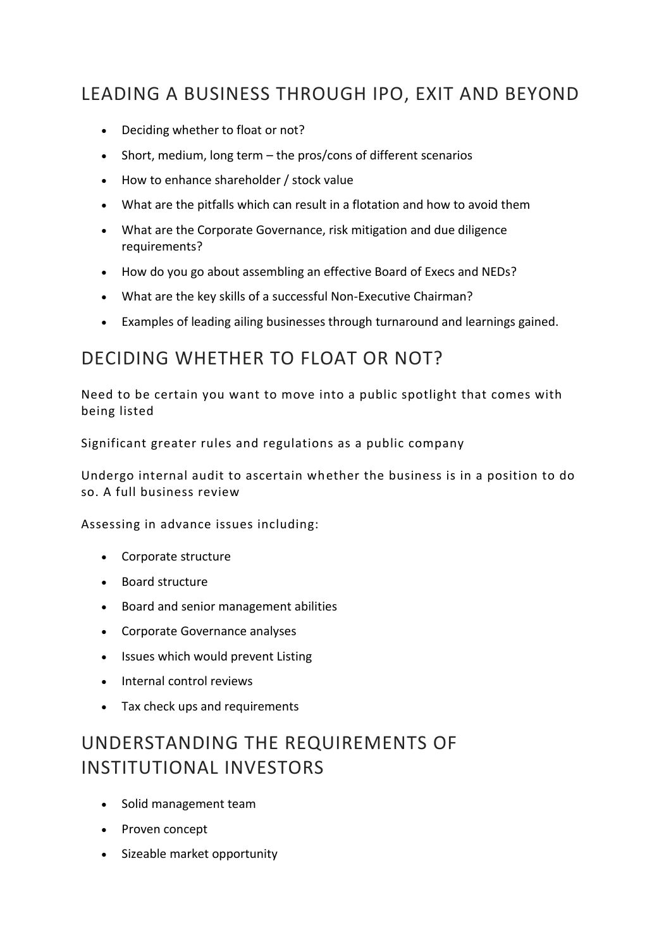## LEADING A BUSINESS THROUGH IPO, EXIT AND BEYOND

- Deciding whether to float or not?
- Short, medium, long term the pros/cons of different scenarios
- How to enhance shareholder / stock value
- What are the pitfalls which can result in a flotation and how to avoid them
- What are the Corporate Governance, risk mitigation and due diligence requirements?
- How do you go about assembling an effective Board of Execs and NEDs?
- What are the key skills of a successful Non-Executive Chairman?
- Examples of leading ailing businesses through turnaround and learnings gained.

## DECIDING WHETHER TO FLOAT OR NOT?

Need to be certain you want to move into a public spotlight that comes with being listed

Significant greater rules and regulations as a public company

Undergo internal audit to ascertain whether the business is in a position to do so. A full business review

Assessing in advance issues including:

- Corporate structure
- Board structure
- Board and senior management abilities
- Corporate Governance analyses
- Issues which would prevent Listing
- Internal control reviews
- Tax check ups and requirements

# UNDERSTANDING THE REQUIREMENTS OF INSTITUTIONAL INVESTORS

- Solid management team
- Proven concept
- Sizeable market opportunity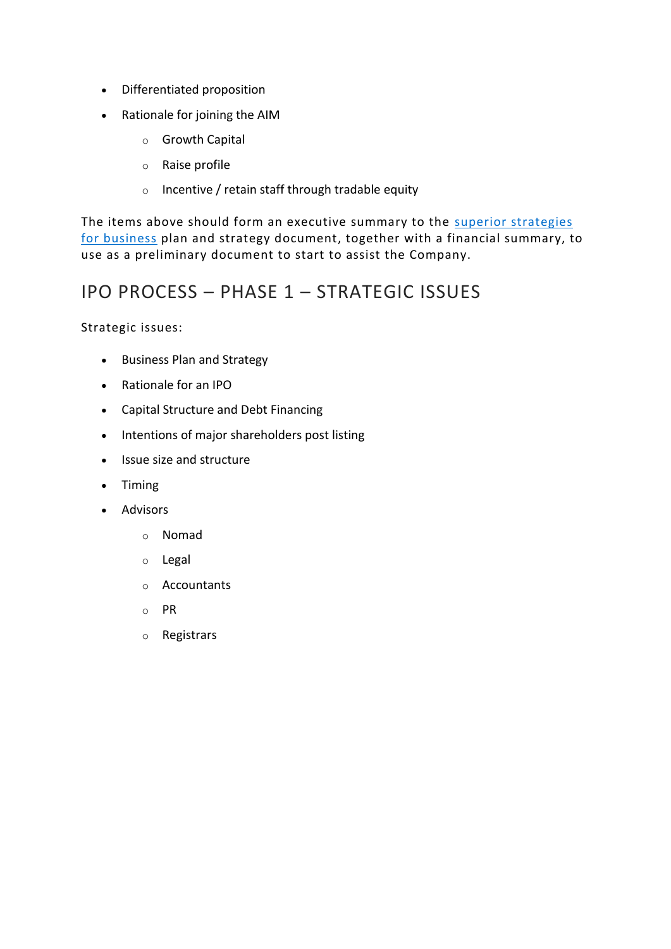- Differentiated proposition
- Rationale for joining the AIM
	- o Growth Capital
	- o Raise profile
	- o Incentive / retain staff through tradable equity

The items above should form an executive summary to the superior strategies [for business](https://www.ceo-worldwide.com/blog/superior-strategies-for-business/) plan and strategy document, together with a financial summary, to use as a preliminary document to start to assist the Company.

## IPO PROCESS – PHASE 1 – STRATEGIC ISSUES

Strategic issues:

- Business Plan and Strategy
- Rationale for an IPO
- Capital Structure and Debt Financing
- Intentions of major shareholders post listing
- Issue size and structure
- Timing
- Advisors
	- o Nomad
	- o Legal
	- o Accountants
	- o PR
	- o Registrars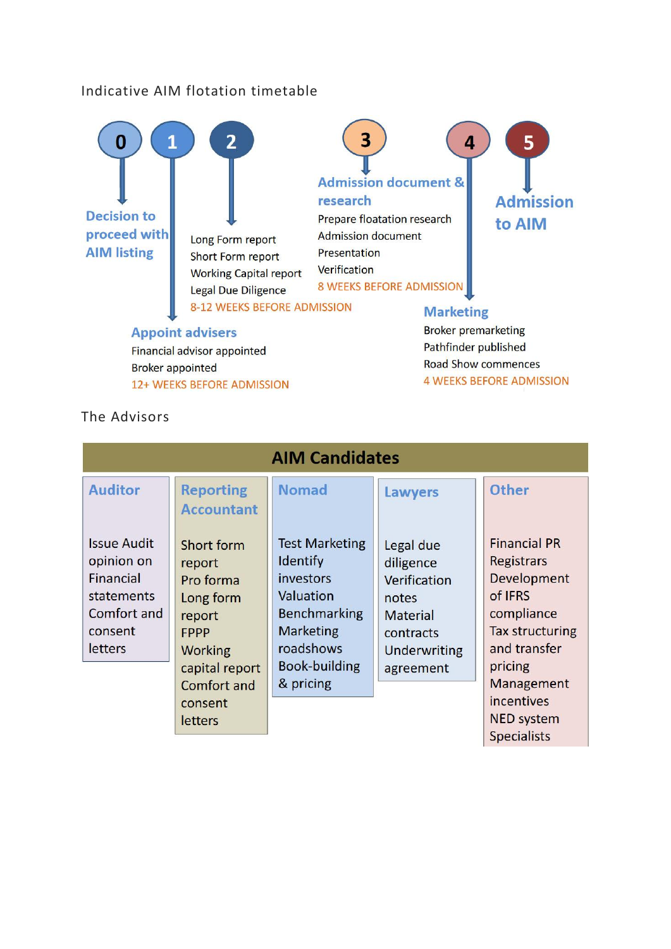### Indicative AIM flotation timetable



### The Advisors

| <b>AIM Candidates</b> |                   |                       |                 |                        |
|-----------------------|-------------------|-----------------------|-----------------|------------------------|
| <b>Auditor</b>        | <b>Reporting</b>  | <b>Nomad</b>          | <b>Lawyers</b>  | <b>Other</b>           |
|                       | <b>Accountant</b> |                       |                 |                        |
| <b>Issue Audit</b>    | Short form        | <b>Test Marketing</b> | Legal due       | <b>Financial PR</b>    |
| opinion on            | report            | Identify              | diligence       | <b>Registrars</b>      |
| Financial             | Pro forma         | investors             | Verification    | Development            |
| <b>statements</b>     | Long form         | Valuation             | notes           | of IFRS                |
| Comfort and           | report            | Benchmarking          | <b>Material</b> | compliance             |
| consent               | FPPP              | <b>Marketing</b>      | contracts       | <b>Tax structuring</b> |
| letters               | <b>Working</b>    | roadshows             | Underwriting    | and transfer           |
|                       | capital report    | Book-building         | agreement       | pricing                |
|                       | Comfort and       | & pricing             |                 | <b>Management</b>      |
|                       | consent           |                       |                 | incentives             |
|                       | letters           |                       |                 | <b>NED system</b>      |
|                       |                   |                       |                 | <b>Specialists</b>     |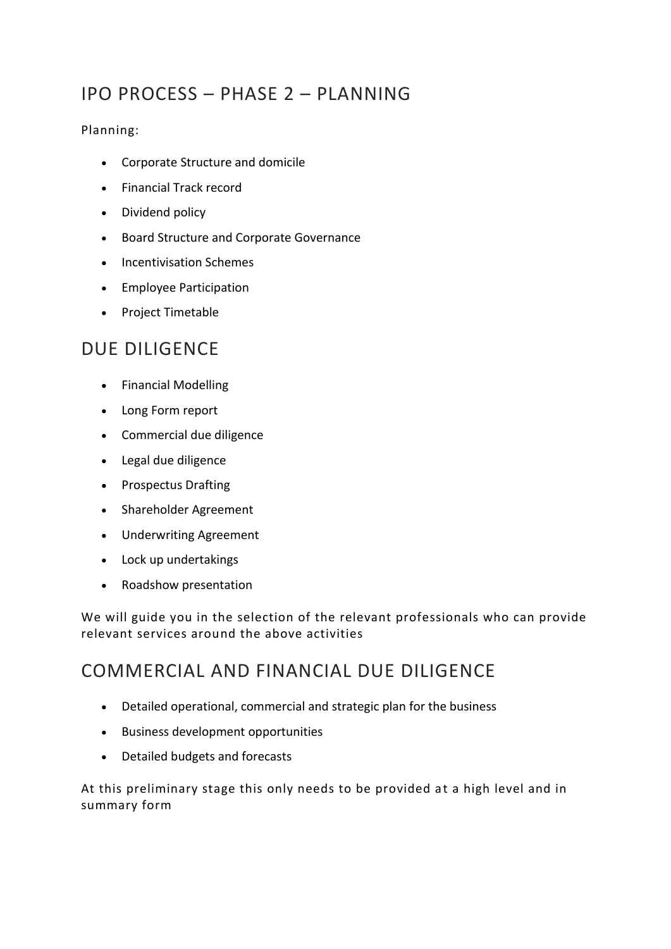## IPO PROCESS – PHASE 2 – PLANNING

### Planning:

- Corporate Structure and domicile
- Financial Track record
- Dividend policy
- Board Structure and Corporate Governance
- Incentivisation Schemes
- Employee Participation
- Project Timetable

## DUE DILIGENCE

- Financial Modelling
- Long Form report
- Commercial due diligence
- Legal due diligence
- Prospectus Drafting
- Shareholder Agreement
- Underwriting Agreement
- Lock up undertakings
- Roadshow presentation

We will guide you in the selection of the relevant professionals who can provide relevant services around the above activities

## COMMERCIAL AND FINANCIAL DUE DILIGENCE

- Detailed operational, commercial and strategic plan for the business
- Business development opportunities
- Detailed budgets and forecasts

At this preliminary stage this only needs to be provided at a high level and in summary form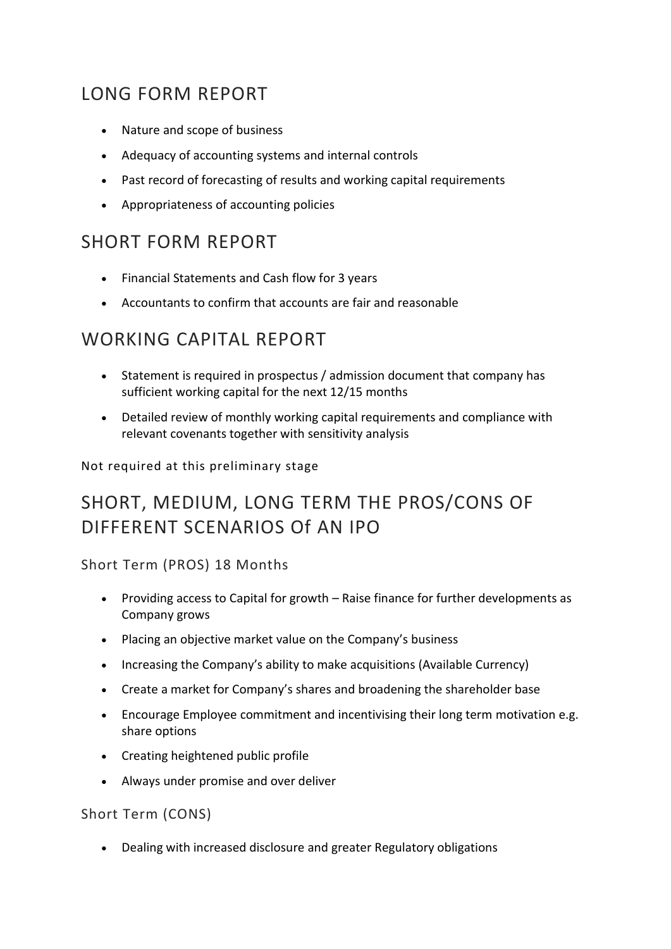# LONG FORM REPORT

- Nature and scope of business
- Adequacy of accounting systems and internal controls
- Past record of forecasting of results and working capital requirements
- Appropriateness of accounting policies

## SHORT FORM REPORT

- Financial Statements and Cash flow for 3 years
- Accountants to confirm that accounts are fair and reasonable

## WORKING CAPITAL REPORT

- Statement is required in prospectus / admission document that company has sufficient working capital for the next 12/15 months
- Detailed review of monthly working capital requirements and compliance with relevant covenants together with sensitivity analysis

Not required at this preliminary stage

# SHORT, MEDIUM, LONG TERM THE PROS/CONS OF DIFFERENT SCENARIOS Of AN IPO

Short Term (PROS) 18 Months

- Providing access to Capital for growth Raise finance for further developments as Company grows
- Placing an objective market value on the Company's business
- Increasing the Company's ability to make acquisitions (Available Currency)
- Create a market for Company's shares and broadening the shareholder base
- Encourage Employee commitment and incentivising their long term motivation e.g. share options
- Creating heightened public profile
- Always under promise and over deliver

Short Term (CONS)

• Dealing with increased disclosure and greater Regulatory obligations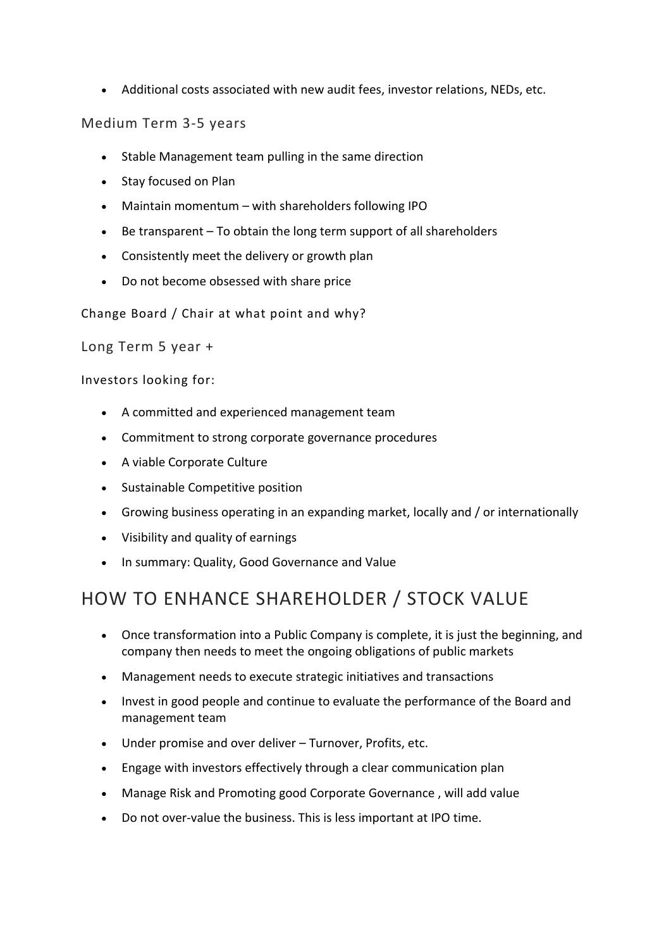• Additional costs associated with new audit fees, investor relations, NEDs, etc.

### Medium Term 3-5 years

- Stable Management team pulling in the same direction
- Stay focused on Plan
- Maintain momentum with shareholders following IPO
- Be transparent To obtain the long term support of all shareholders
- Consistently meet the delivery or growth plan
- Do not become obsessed with share price

Change Board / Chair at what point and why?

Long Term 5 year +

Investors looking for:

- A committed and experienced management team
- Commitment to strong corporate governance procedures
- A viable Corporate Culture
- Sustainable Competitive position
- Growing business operating in an expanding market, locally and / or internationally
- Visibility and quality of earnings
- In summary: Quality, Good Governance and Value

## HOW TO ENHANCE SHAREHOLDER / STOCK VALUE

- Once transformation into a Public Company is complete, it is just the beginning, and company then needs to meet the ongoing obligations of public markets
- Management needs to execute strategic initiatives and transactions
- Invest in good people and continue to evaluate the performance of the Board and management team
- Under promise and over deliver Turnover, Profits, etc.
- Engage with investors effectively through a clear communication plan
- Manage Risk and Promoting good Corporate Governance , will add value
- Do not over-value the business. This is less important at IPO time.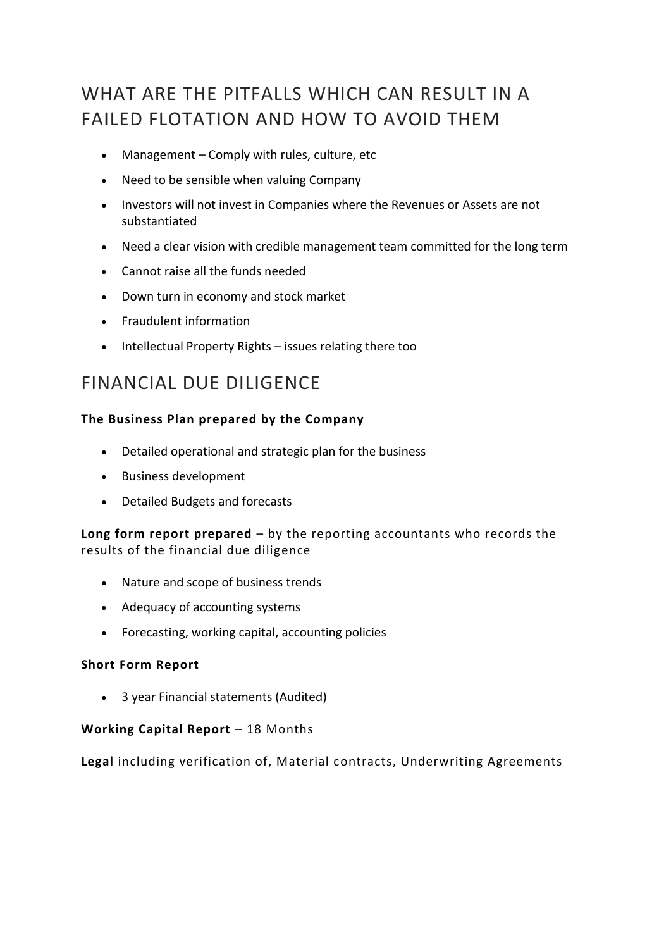# WHAT ARE THE PITFALLS WHICH CAN RESULT IN A FAILED FLOTATION AND HOW TO AVOID THEM

- Management Comply with rules, culture, etc
- Need to be sensible when valuing Company
- Investors will not invest in Companies where the Revenues or Assets are not substantiated
- Need a clear vision with credible management team committed for the long term
- Cannot raise all the funds needed
- Down turn in economy and stock market
- Fraudulent information
- Intellectual Property Rights issues relating there too

## FINANCIAL DUE DILIGENCE

### **The Business Plan prepared by the Company**

- Detailed operational and strategic plan for the business
- Business development
- Detailed Budgets and forecasts

### **Long form report prepared** – by the reporting accountants who records the results of the financial due diligence

- Nature and scope of business trends
- Adequacy of accounting systems
- Forecasting, working capital, accounting policies

#### **Short Form Report**

• 3 year Financial statements (Audited)

#### **Working Capital Report** – 18 Months

**Legal** including verification of, Material contracts, Underwriting Agreements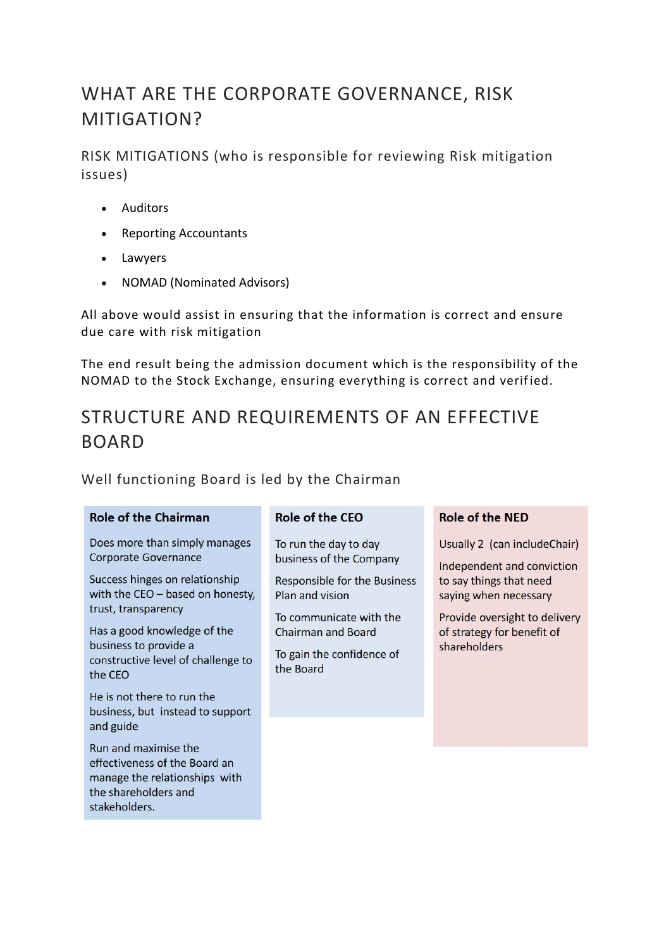# WHAT ARE THE CORPORATE GOVERNANCE, RISK MITIGATION?

RISK MITIGATIONS (who is responsible for reviewing Risk mitigation issues)

- Auditors
- Reporting Accountants
- Lawyers
- NOMAD (Nominated Advisors)

All above would assist in ensuring that the information is correct and ensure due care with risk mitigation

The end result being the admission document which is the responsibility of the NOMAD to the Stock Exchange, ensuring everything is correct and verified.

# STRUCTURE AND REQUIREMENTS OF AN EFFECTIVE BOARD

Well functioning Board is led by the Chairman

#### **Role of the Chairman**

Does more than simply manages **Corporate Governance** 

Success hinges on relationship with the CEO - based on honesty, trust, transparency

Has a good knowledge of the business to provide a constructive level of challenge to the CFO

He is not there to run the business, but instead to support and guide

Run and maximise the effectiveness of the Board an manage the relationships with the shareholders and stakeholders.

### Role of the CFO

To run the day to day business of the Company

**Responsible for the Business** Plan and vision

To communicate with the **Chairman and Board** 

To gain the confidence of the Board

#### **Role of the NFD**

Usually 2 (can includeChair)

Independent and conviction to say things that need saying when necessary

Provide oversight to delivery of strategy for benefit of shareholders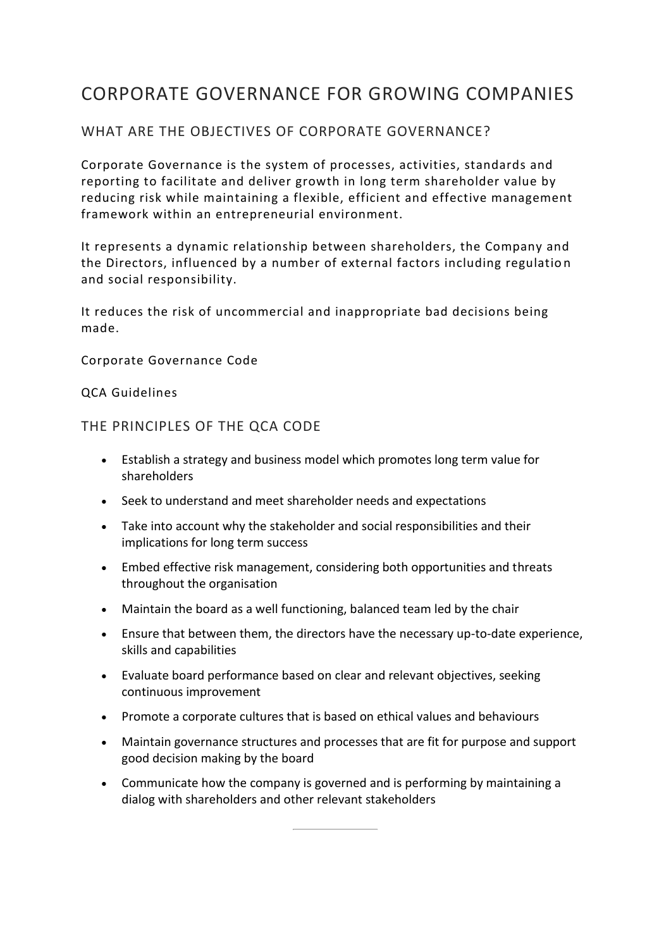## CORPORATE GOVERNANCE FOR GROWING COMPANIES

### WHAT ARE THE OBJECTIVES OF CORPORATE GOVERNANCE?

Corporate Governance is the system of processes, activities, standards and reporting to facilitate and deliver growth in long term shareholder value by reducing risk while maintaining a flexible, efficient and effective management framework within an entrepreneurial environment.

It represents a dynamic relationship between shareholders, the Company and the Directors, influenced by a number of external factors including regulatio n and social responsibility.

It reduces the risk of uncommercial and inappropriate bad decisions being made.

Corporate Governance Code

QCA Guidelines

THE PRINCIPLES OF THE QCA CODE

- Establish a strategy and business model which promotes long term value for shareholders
- Seek to understand and meet shareholder needs and expectations
- Take into account why the stakeholder and social responsibilities and their implications for long term success
- Embed effective risk management, considering both opportunities and threats throughout the organisation
- Maintain the board as a well functioning, balanced team led by the chair
- Ensure that between them, the directors have the necessary up-to-date experience, skills and capabilities
- Evaluate board performance based on clear and relevant objectives, seeking continuous improvement
- Promote a corporate cultures that is based on ethical values and behaviours
- Maintain governance structures and processes that are fit for purpose and support good decision making by the board
- Communicate how the company is governed and is performing by maintaining a dialog with shareholders and other relevant stakeholders